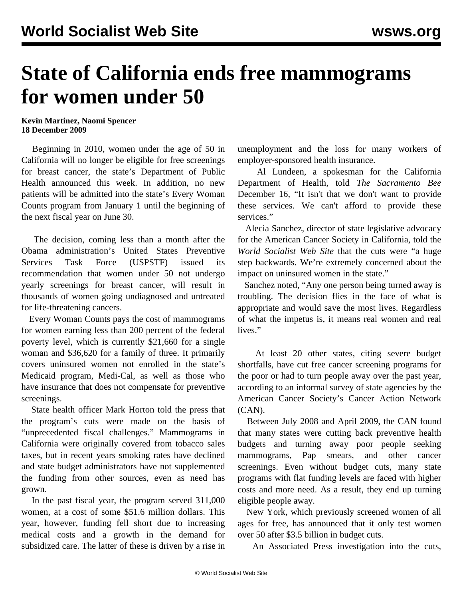## **State of California ends free mammograms for women under 50**

## **Kevin Martinez, Naomi Spencer 18 December 2009**

 Beginning in 2010, women under the age of 50 in California will no longer be eligible for free screenings for breast cancer, the state's Department of Public Health announced this week. In addition, no new patients will be admitted into the state's Every Woman Counts program from January 1 until the beginning of the next fiscal year on June 30.

 The decision, coming less than a month after the Obama administration's United States Preventive Services Task Force (USPSTF) issued its recommendation that women under 50 not undergo yearly screenings for breast cancer, will result in thousands of women going undiagnosed and untreated for life-threatening cancers.

 Every Woman Counts pays the cost of mammograms for women earning less than 200 percent of the federal poverty level, which is currently \$21,660 for a single woman and \$36,620 for a family of three. It primarily covers uninsured women not enrolled in the state's Medicaid program, Medi-Cal, as well as those who have insurance that does not compensate for preventive screenings.

 State health officer Mark Horton told the press that the program's cuts were made on the basis of "unprecedented fiscal challenges." Mammograms in California were originally covered from tobacco sales taxes, but in recent years smoking rates have declined and state budget administrators have not supplemented the funding from other sources, even as need has grown.

 In the past fiscal year, the program served 311,000 women, at a cost of some \$51.6 million dollars. This year, however, funding fell short due to increasing medical costs and a growth in the demand for subsidized care. The latter of these is driven by a rise in

unemployment and the loss for many workers of employer-sponsored health insurance.

 Al Lundeen, a spokesman for the California Department of Health, told *The Sacramento Bee* December 16, "It isn't that we don't want to provide these services. We can't afford to provide these services."

 Alecia Sanchez, director of state legislative advocacy for the American Cancer Society in California, told the *World Socialist Web Site* that the cuts were "a huge step backwards. We're extremely concerned about the impact on uninsured women in the state."

 Sanchez noted, "Any one person being turned away is troubling. The decision flies in the face of what is appropriate and would save the most lives. Regardless of what the impetus is, it means real women and real lives."

 At least 20 other states, citing severe budget shortfalls, have cut free cancer screening programs for the poor or had to turn people away over the past year, according to an informal survey of state agencies by the American Cancer Society's Cancer Action Network (CAN).

 Between July 2008 and April 2009, the CAN found that many states were cutting back preventive health budgets and turning away poor people seeking mammograms, Pap smears, and other cancer screenings. Even without budget cuts, many state programs with flat funding levels are faced with higher costs and more need. As a result, they end up turning eligible people away.

 New York, which previously screened women of all ages for free, has announced that it only test women over 50 after \$3.5 billion in budget cuts.

An Associated Press investigation into the cuts,